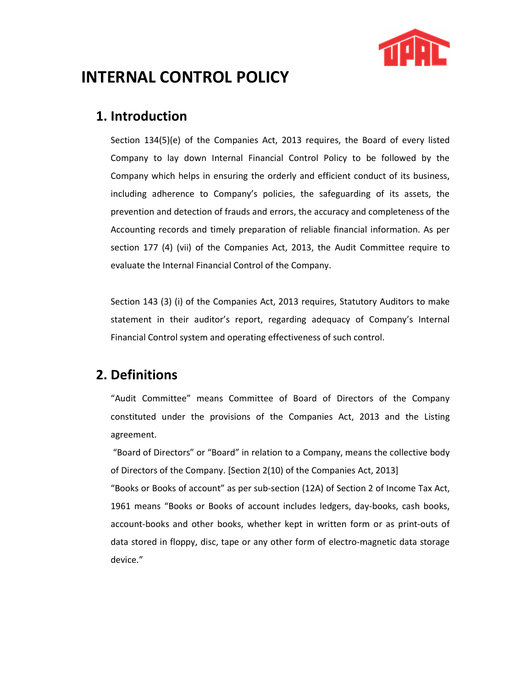

# INTERNAL CONTROL POLICY

### 1. Introduction

Section 134(5)(e) of the Companies Act, 2013 requires, the Board of every listed Company to lay down Internal Financial Control Policy to be followed by the Company which helps in ensuring the orderly and efficient conduct of its business, including adherence to Company's policies, the safeguarding of its assets, the prevention and detection of frauds and errors, the accuracy and completeness of the Accounting records and timely preparation of reliable financial information. As per section 177 (4) (vii) of the Companies Act, 2013, the Audit Committee require to evaluate the Internal Financial Control of the Company.

Section 143 (3) (i) of the Companies Act, 2013 requires, Statutory Auditors to make statement in their auditor's report, regarding adequacy of Company's Internal Financial Control system and operating effectiveness of such control.

#### 2. Definitions

"Audit Committee" means Committee of Board of Directors of the Company constituted under the provisions of the Companies Act, 2013 and the Listing agreement.

 "Board of Directors" or "Board" in relation to a Company, means the collective body of Directors of the Company. [Section 2(10) of the Companies Act, 2013]

"Books or Books of account" as per sub-section (12A) of Section 2 of Income Tax Act, 1961 means "Books or Books of account includes ledgers, day-books, cash books, account-books and other books, whether kept in written form or as print-outs of data stored in floppy, disc, tape or any other form of electro-magnetic data storage device."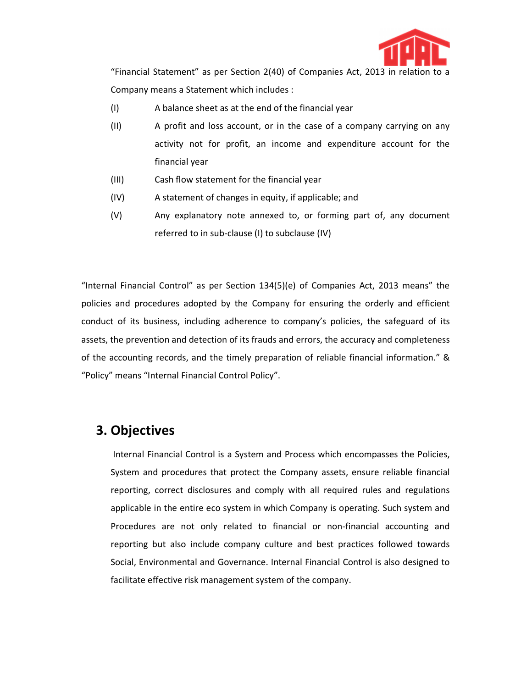

 "Financial Statement" as per Section 2(40) of Companies Act, 2013 in relation to a Company means a Statement which includes :

- (I) A balance sheet as at the end of the financial year
- (II) A profit and loss account, or in the case of a company carrying on any activity not for profit, an income and expenditure account for the financial year
- (III) Cash flow statement for the financial year
- (IV) A statement of changes in equity, if applicable; and
- (V) Any explanatory note annexed to, or forming part of, any document referred to in sub-clause (I) to subclause (IV)

"Internal Financial Control" as per Section 134(5)(e) of Companies Act, 2013 means" the policies and procedures adopted by the Company for ensuring the orderly and efficient conduct of its business, including adherence to company's policies, the safeguard of its assets, the prevention and detection of its frauds and errors, the accuracy and completeness of the accounting records, and the timely preparation of reliable financial information." & "Policy" means "Internal Financial Control Policy".

#### 3. Objectives

 Internal Financial Control is a System and Process which encompasses the Policies, System and procedures that protect the Company assets, ensure reliable financial reporting, correct disclosures and comply with all required rules and regulations applicable in the entire eco system in which Company is operating. Such system and Procedures are not only related to financial or non-financial accounting and reporting but also include company culture and best practices followed towards Social, Environmental and Governance. Internal Financial Control is also designed to facilitate effective risk management system of the company.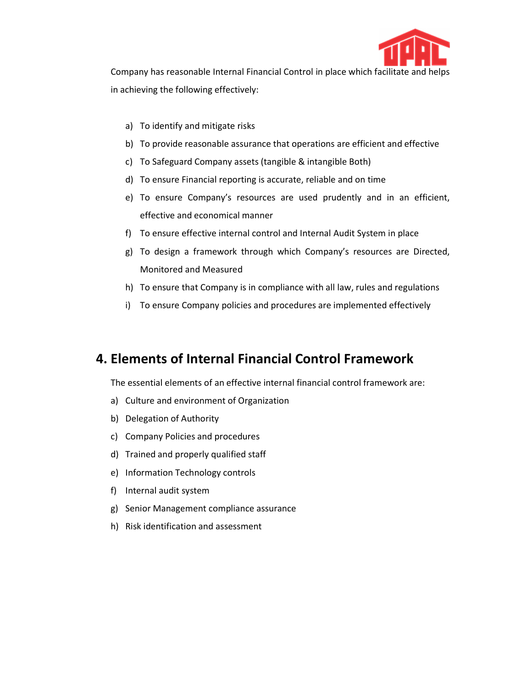

 Company has reasonable Internal Financial Control in place which facilitate and helps in achieving the following effectively:

- a) To identify and mitigate risks
- b) To provide reasonable assurance that operations are efficient and effective
- c) To Safeguard Company assets (tangible & intangible Both)
- d) To ensure Financial reporting is accurate, reliable and on time
- e) To ensure Company's resources are used prudently and in an efficient, effective and economical manner
- f) To ensure effective internal control and Internal Audit System in place
- g) To design a framework through which Company's resources are Directed, Monitored and Measured
- h) To ensure that Company is in compliance with all law, rules and regulations
- i) To ensure Company policies and procedures are implemented effectively

## 4. Elements of Internal Financial Control Framework

The essential elements of an effective internal financial control framework are:

- a) Culture and environment of Organization
- b) Delegation of Authority
- c) Company Policies and procedures
- d) Trained and properly qualified staff
- e) Information Technology controls
- f) Internal audit system
- g) Senior Management compliance assurance
- h) Risk identification and assessment